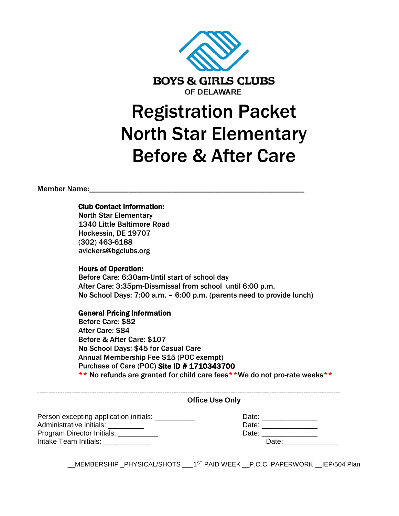

# Registration Packet North Star Elementary Before & After Care

Member Name:\_

### Club Contact Information:

North Star Elementary 1340 Little Baltimore Road Hockessin, DE 19707 (302) 463-6188 avickers@bgclubs.org

#### Hours of Operation:

Before Care: 6:30am-Until start of school day After Care: 3:35pm-Dissmissal from school until 6:00 p.m. No School Days: 7:00 a.m. – 6:00 p.m. (parents need to provide lunch)

#### General Pricing Information

Before Care: \$82 After Care: \$84 Before & After Care: \$107 No School Days: \$45 for Casual Care Annual Membership Fee \$15 (POC exempt) Purchase of Care (POC) Site ID # 1710343700 \*\* No refunds are granted for child care fees\*\*We do not pro-rate weeks\*\*

| <b>Office Use Only</b>                             |                                                                                                                                                                                                                                |
|----------------------------------------------------|--------------------------------------------------------------------------------------------------------------------------------------------------------------------------------------------------------------------------------|
| Person excepting application initials: ___________ | Date: _______________                                                                                                                                                                                                          |
| Administrative initials: __________                |                                                                                                                                                                                                                                |
| Program Director Initials: __________              | Date: __________________                                                                                                                                                                                                       |
| Intake Team Initials: <b>Algebra</b>               | Date: the contract of the contract of the contract of the contract of the contract of the contract of the contract of the contract of the contract of the contract of the contract of the contract of the contract of the cont |

\_\_MEMBERSHIP \_PHYSICAL/SHOTS \_\_\_1ST PAID WEEK \_\_P.O.C. PAPERWORK \_\_IEP/504 Plan